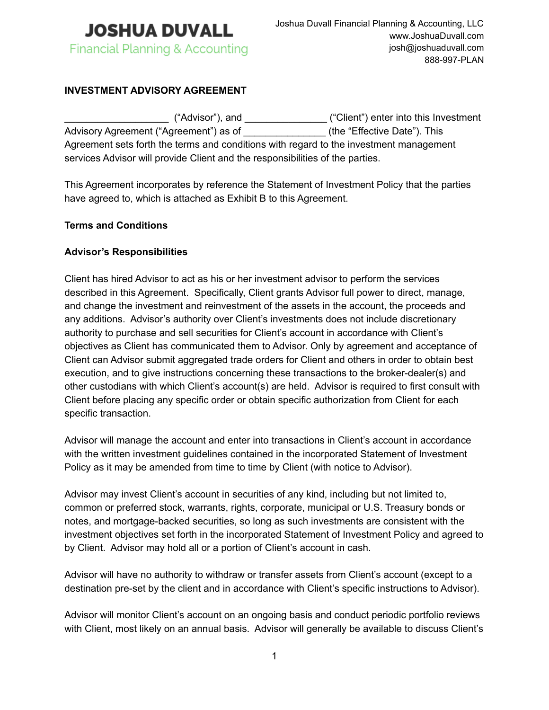

# **INVESTMENT ADVISORY AGREEMENT**

\_\_\_\_\_\_\_\_\_\_\_\_\_\_\_\_\_\_\_ ("Advisor"), and \_\_\_\_\_\_\_\_\_\_\_\_\_\_\_ ("Client") enter into this Investment Advisory Agreement ("Agreement") as of \_\_\_\_\_\_\_\_\_\_\_\_\_\_\_\_\_(the "Effective Date"). This Agreement sets forth the terms and conditions with regard to the investment management services Advisor will provide Client and the responsibilities of the parties.

This Agreement incorporates by reference the Statement of Investment Policy that the parties have agreed to, which is attached as Exhibit B to this Agreement.

### **Terms and Conditions**

### **Advisor's Responsibilities**

Client has hired Advisor to act as his or her investment advisor to perform the services described in this Agreement. Specifically, Client grants Advisor full power to direct, manage, and change the investment and reinvestment of the assets in the account, the proceeds and any additions. Advisor's authority over Client's investments does not include discretionary authority to purchase and sell securities for Client's account in accordance with Client's objectives as Client has communicated them to Advisor. Only by agreement and acceptance of Client can Advisor submit aggregated trade orders for Client and others in order to obtain best execution, and to give instructions concerning these transactions to the broker-dealer(s) and other custodians with which Client's account(s) are held. Advisor is required to first consult with Client before placing any specific order or obtain specific authorization from Client for each specific transaction.

Advisor will manage the account and enter into transactions in Client's account in accordance with the written investment guidelines contained in the incorporated Statement of Investment Policy as it may be amended from time to time by Client (with notice to Advisor).

Advisor may invest Client's account in securities of any kind, including but not limited to, common or preferred stock, warrants, rights, corporate, municipal or U.S. Treasury bonds or notes, and mortgage-backed securities, so long as such investments are consistent with the investment objectives set forth in the incorporated Statement of Investment Policy and agreed to by Client. Advisor may hold all or a portion of Client's account in cash.

Advisor will have no authority to withdraw or transfer assets from Client's account (except to a destination pre-set by the client and in accordance with Client's specific instructions to Advisor).

Advisor will monitor Client's account on an ongoing basis and conduct periodic portfolio reviews with Client, most likely on an annual basis. Advisor will generally be available to discuss Client's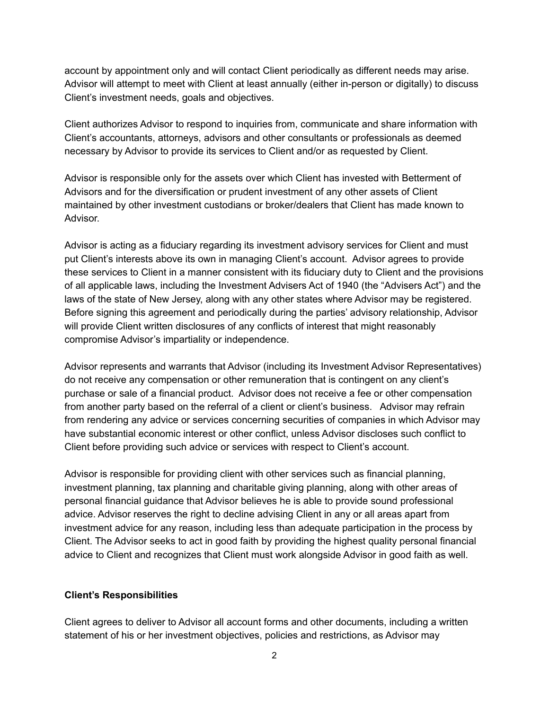account by appointment only and will contact Client periodically as different needs may arise. Advisor will attempt to meet with Client at least annually (either in-person or digitally) to discuss Client's investment needs, goals and objectives.

Client authorizes Advisor to respond to inquiries from, communicate and share information with Client's accountants, attorneys, advisors and other consultants or professionals as deemed necessary by Advisor to provide its services to Client and/or as requested by Client.

Advisor is responsible only for the assets over which Client has invested with Betterment of Advisors and for the diversification or prudent investment of any other assets of Client maintained by other investment custodians or broker/dealers that Client has made known to Advisor.

Advisor is acting as a fiduciary regarding its investment advisory services for Client and must put Client's interests above its own in managing Client's account. Advisor agrees to provide these services to Client in a manner consistent with its fiduciary duty to Client and the provisions of all applicable laws, including the Investment Advisers Act of 1940 (the "Advisers Act") and the laws of the state of New Jersey, along with any other states where Advisor may be registered. Before signing this agreement and periodically during the parties' advisory relationship, Advisor will provide Client written disclosures of any conflicts of interest that might reasonably compromise Advisor's impartiality or independence.

Advisor represents and warrants that Advisor (including its Investment Advisor Representatives) do not receive any compensation or other remuneration that is contingent on any client's purchase or sale of a financial product. Advisor does not receive a fee or other compensation from another party based on the referral of a client or client's business. Advisor may refrain from rendering any advice or services concerning securities of companies in which Advisor may have substantial economic interest or other conflict, unless Advisor discloses such conflict to Client before providing such advice or services with respect to Client's account.

Advisor is responsible for providing client with other services such as financial planning, investment planning, tax planning and charitable giving planning, along with other areas of personal financial guidance that Advisor believes he is able to provide sound professional advice. Advisor reserves the right to decline advising Client in any or all areas apart from investment advice for any reason, including less than adequate participation in the process by Client. The Advisor seeks to act in good faith by providing the highest quality personal financial advice to Client and recognizes that Client must work alongside Advisor in good faith as well.

#### **Client's Responsibilities**

Client agrees to deliver to Advisor all account forms and other documents, including a written statement of his or her investment objectives, policies and restrictions, as Advisor may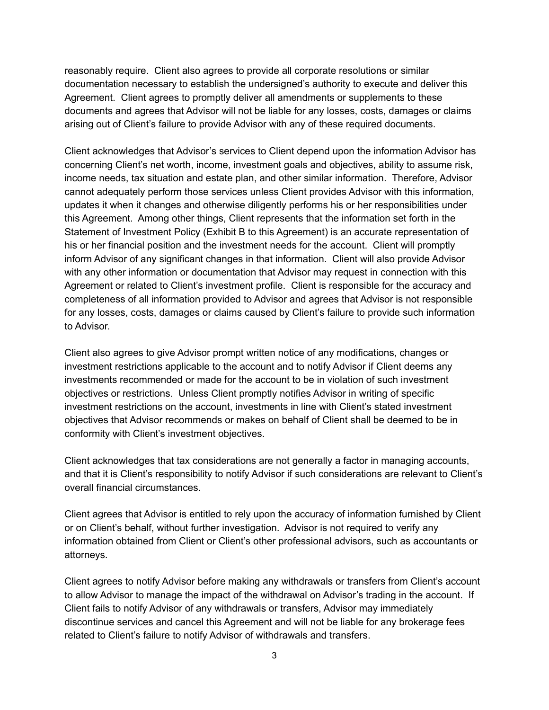reasonably require. Client also agrees to provide all corporate resolutions or similar documentation necessary to establish the undersigned's authority to execute and deliver this Agreement. Client agrees to promptly deliver all amendments or supplements to these documents and agrees that Advisor will not be liable for any losses, costs, damages or claims arising out of Client's failure to provide Advisor with any of these required documents.

Client acknowledges that Advisor's services to Client depend upon the information Advisor has concerning Client's net worth, income, investment goals and objectives, ability to assume risk, income needs, tax situation and estate plan, and other similar information. Therefore, Advisor cannot adequately perform those services unless Client provides Advisor with this information, updates it when it changes and otherwise diligently performs his or her responsibilities under this Agreement. Among other things, Client represents that the information set forth in the Statement of Investment Policy (Exhibit B to this Agreement) is an accurate representation of his or her financial position and the investment needs for the account. Client will promptly inform Advisor of any significant changes in that information. Client will also provide Advisor with any other information or documentation that Advisor may request in connection with this Agreement or related to Client's investment profile. Client is responsible for the accuracy and completeness of all information provided to Advisor and agrees that Advisor is not responsible for any losses, costs, damages or claims caused by Client's failure to provide such information to Advisor.

Client also agrees to give Advisor prompt written notice of any modifications, changes or investment restrictions applicable to the account and to notify Advisor if Client deems any investments recommended or made for the account to be in violation of such investment objectives or restrictions. Unless Client promptly notifies Advisor in writing of specific investment restrictions on the account, investments in line with Client's stated investment objectives that Advisor recommends or makes on behalf of Client shall be deemed to be in conformity with Client's investment objectives.

Client acknowledges that tax considerations are not generally a factor in managing accounts, and that it is Client's responsibility to notify Advisor if such considerations are relevant to Client's overall financial circumstances.

Client agrees that Advisor is entitled to rely upon the accuracy of information furnished by Client or on Client's behalf, without further investigation. Advisor is not required to verify any information obtained from Client or Client's other professional advisors, such as accountants or attorneys.

Client agrees to notify Advisor before making any withdrawals or transfers from Client's account to allow Advisor to manage the impact of the withdrawal on Advisor's trading in the account. If Client fails to notify Advisor of any withdrawals or transfers, Advisor may immediately discontinue services and cancel this Agreement and will not be liable for any brokerage fees related to Client's failure to notify Advisor of withdrawals and transfers.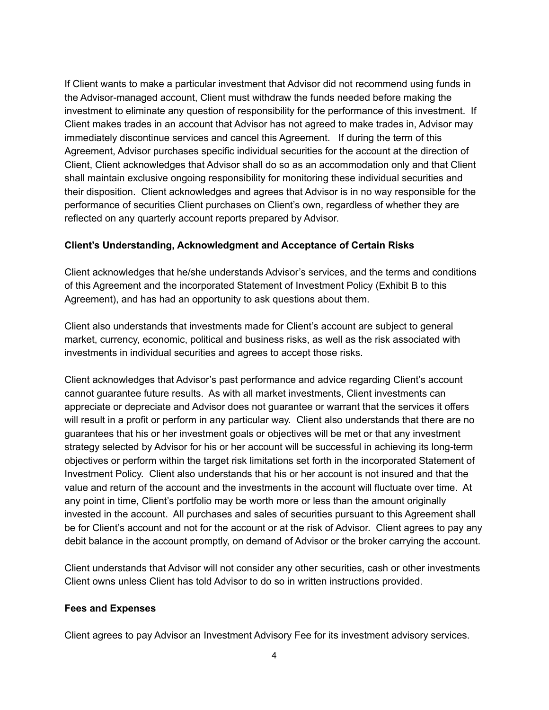If Client wants to make a particular investment that Advisor did not recommend using funds in the Advisor-managed account, Client must withdraw the funds needed before making the investment to eliminate any question of responsibility for the performance of this investment. If Client makes trades in an account that Advisor has not agreed to make trades in, Advisor may immediately discontinue services and cancel this Agreement. If during the term of this Agreement, Advisor purchases specific individual securities for the account at the direction of Client, Client acknowledges that Advisor shall do so as an accommodation only and that Client shall maintain exclusive ongoing responsibility for monitoring these individual securities and their disposition. Client acknowledges and agrees that Advisor is in no way responsible for the performance of securities Client purchases on Client's own, regardless of whether they are reflected on any quarterly account reports prepared by Advisor.

#### **Client's Understanding, Acknowledgment and Acceptance of Certain Risks**

Client acknowledges that he/she understands Advisor's services, and the terms and conditions of this Agreement and the incorporated Statement of Investment Policy (Exhibit B to this Agreement), and has had an opportunity to ask questions about them.

Client also understands that investments made for Client's account are subject to general market, currency, economic, political and business risks, as well as the risk associated with investments in individual securities and agrees to accept those risks.

Client acknowledges that Advisor's past performance and advice regarding Client's account cannot guarantee future results. As with all market investments, Client investments can appreciate or depreciate and Advisor does not guarantee or warrant that the services it offers will result in a profit or perform in any particular way. Client also understands that there are no guarantees that his or her investment goals or objectives will be met or that any investment strategy selected by Advisor for his or her account will be successful in achieving its long-term objectives or perform within the target risk limitations set forth in the incorporated Statement of Investment Policy. Client also understands that his or her account is not insured and that the value and return of the account and the investments in the account will fluctuate over time. At any point in time, Client's portfolio may be worth more or less than the amount originally invested in the account. All purchases and sales of securities pursuant to this Agreement shall be for Client's account and not for the account or at the risk of Advisor. Client agrees to pay any debit balance in the account promptly, on demand of Advisor or the broker carrying the account.

Client understands that Advisor will not consider any other securities, cash or other investments Client owns unless Client has told Advisor to do so in written instructions provided.

### **Fees and Expenses**

Client agrees to pay Advisor an Investment Advisory Fee for its investment advisory services.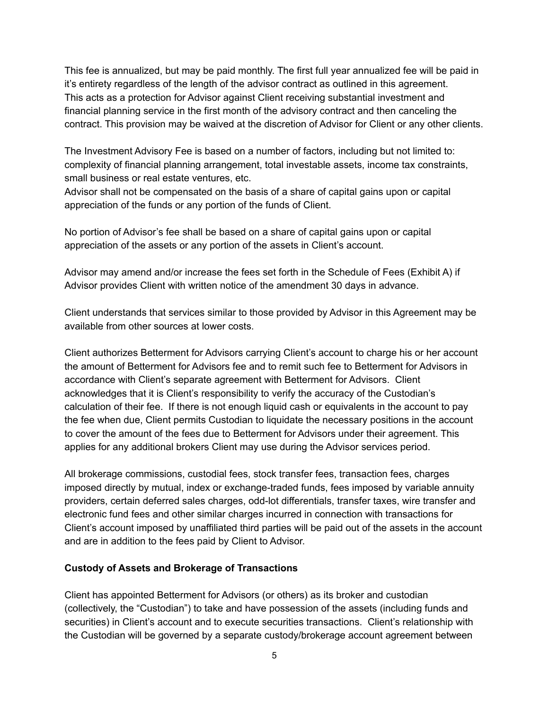This fee is annualized, but may be paid monthly. The first full year annualized fee will be paid in it's entirety regardless of the length of the advisor contract as outlined in this agreement. This acts as a protection for Advisor against Client receiving substantial investment and financial planning service in the first month of the advisory contract and then canceling the contract. This provision may be waived at the discretion of Advisor for Client or any other clients.

The Investment Advisory Fee is based on a number of factors, including but not limited to: complexity of financial planning arrangement, total investable assets, income tax constraints, small business or real estate ventures, etc.

Advisor shall not be compensated on the basis of a share of capital gains upon or capital appreciation of the funds or any portion of the funds of Client.

No portion of Advisor's fee shall be based on a share of capital gains upon or capital appreciation of the assets or any portion of the assets in Client's account.

Advisor may amend and/or increase the fees set forth in the Schedule of Fees (Exhibit A) if Advisor provides Client with written notice of the amendment 30 days in advance.

Client understands that services similar to those provided by Advisor in this Agreement may be available from other sources at lower costs.

Client authorizes Betterment for Advisors carrying Client's account to charge his or her account the amount of Betterment for Advisors fee and to remit such fee to Betterment for Advisors in accordance with Client's separate agreement with Betterment for Advisors. Client acknowledges that it is Client's responsibility to verify the accuracy of the Custodian's calculation of their fee. If there is not enough liquid cash or equivalents in the account to pay the fee when due, Client permits Custodian to liquidate the necessary positions in the account to cover the amount of the fees due to Betterment for Advisors under their agreement. This applies for any additional brokers Client may use during the Advisor services period.

All brokerage commissions, custodial fees, stock transfer fees, transaction fees, charges imposed directly by mutual, index or exchange-traded funds, fees imposed by variable annuity providers, certain deferred sales charges, odd-lot differentials, transfer taxes, wire transfer and electronic fund fees and other similar charges incurred in connection with transactions for Client's account imposed by unaffiliated third parties will be paid out of the assets in the account and are in addition to the fees paid by Client to Advisor.

### **Custody of Assets and Brokerage of Transactions**

Client has appointed Betterment for Advisors (or others) as its broker and custodian (collectively, the "Custodian") to take and have possession of the assets (including funds and securities) in Client's account and to execute securities transactions. Client's relationship with the Custodian will be governed by a separate custody/brokerage account agreement between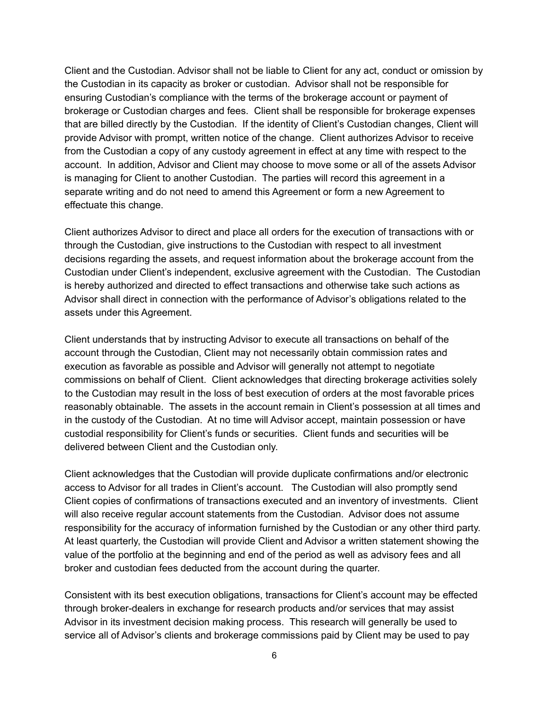Client and the Custodian. Advisor shall not be liable to Client for any act, conduct or omission by the Custodian in its capacity as broker or custodian. Advisor shall not be responsible for ensuring Custodian's compliance with the terms of the brokerage account or payment of brokerage or Custodian charges and fees. Client shall be responsible for brokerage expenses that are billed directly by the Custodian. If the identity of Client's Custodian changes, Client will provide Advisor with prompt, written notice of the change. Client authorizes Advisor to receive from the Custodian a copy of any custody agreement in effect at any time with respect to the account. In addition, Advisor and Client may choose to move some or all of the assets Advisor is managing for Client to another Custodian. The parties will record this agreement in a separate writing and do not need to amend this Agreement or form a new Agreement to effectuate this change.

Client authorizes Advisor to direct and place all orders for the execution of transactions with or through the Custodian, give instructions to the Custodian with respect to all investment decisions regarding the assets, and request information about the brokerage account from the Custodian under Client's independent, exclusive agreement with the Custodian. The Custodian is hereby authorized and directed to effect transactions and otherwise take such actions as Advisor shall direct in connection with the performance of Advisor's obligations related to the assets under this Agreement.

Client understands that by instructing Advisor to execute all transactions on behalf of the account through the Custodian, Client may not necessarily obtain commission rates and execution as favorable as possible and Advisor will generally not attempt to negotiate commissions on behalf of Client. Client acknowledges that directing brokerage activities solely to the Custodian may result in the loss of best execution of orders at the most favorable prices reasonably obtainable. The assets in the account remain in Client's possession at all times and in the custody of the Custodian. At no time will Advisor accept, maintain possession or have custodial responsibility for Client's funds or securities. Client funds and securities will be delivered between Client and the Custodian only.

Client acknowledges that the Custodian will provide duplicate confirmations and/or electronic access to Advisor for all trades in Client's account. The Custodian will also promptly send Client copies of confirmations of transactions executed and an inventory of investments. Client will also receive regular account statements from the Custodian. Advisor does not assume responsibility for the accuracy of information furnished by the Custodian or any other third party. At least quarterly, the Custodian will provide Client and Advisor a written statement showing the value of the portfolio at the beginning and end of the period as well as advisory fees and all broker and custodian fees deducted from the account during the quarter.

Consistent with its best execution obligations, transactions for Client's account may be effected through broker-dealers in exchange for research products and/or services that may assist Advisor in its investment decision making process. This research will generally be used to service all of Advisor's clients and brokerage commissions paid by Client may be used to pay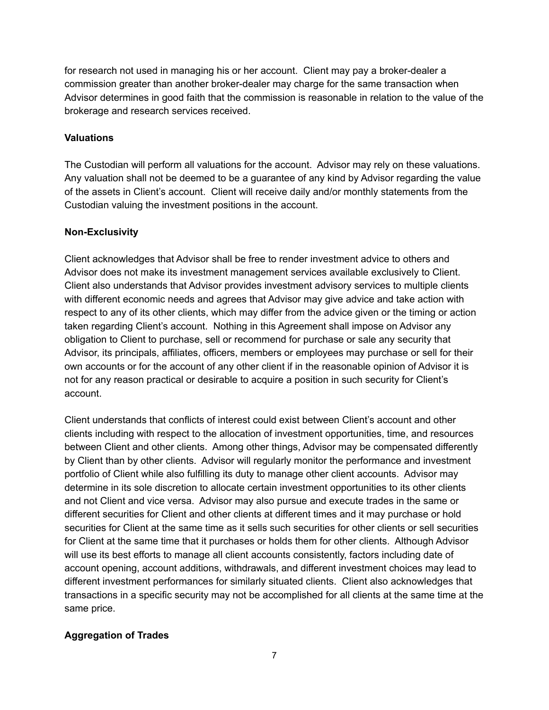for research not used in managing his or her account. Client may pay a broker-dealer a commission greater than another broker-dealer may charge for the same transaction when Advisor determines in good faith that the commission is reasonable in relation to the value of the brokerage and research services received.

### **Valuations**

The Custodian will perform all valuations for the account. Advisor may rely on these valuations. Any valuation shall not be deemed to be a guarantee of any kind by Advisor regarding the value of the assets in Client's account. Client will receive daily and/or monthly statements from the Custodian valuing the investment positions in the account.

### **Non-Exclusivity**

Client acknowledges that Advisor shall be free to render investment advice to others and Advisor does not make its investment management services available exclusively to Client. Client also understands that Advisor provides investment advisory services to multiple clients with different economic needs and agrees that Advisor may give advice and take action with respect to any of its other clients, which may differ from the advice given or the timing or action taken regarding Client's account. Nothing in this Agreement shall impose on Advisor any obligation to Client to purchase, sell or recommend for purchase or sale any security that Advisor, its principals, affiliates, officers, members or employees may purchase or sell for their own accounts or for the account of any other client if in the reasonable opinion of Advisor it is not for any reason practical or desirable to acquire a position in such security for Client's account.

Client understands that conflicts of interest could exist between Client's account and other clients including with respect to the allocation of investment opportunities, time, and resources between Client and other clients. Among other things, Advisor may be compensated differently by Client than by other clients. Advisor will regularly monitor the performance and investment portfolio of Client while also fulfilling its duty to manage other client accounts. Advisor may determine in its sole discretion to allocate certain investment opportunities to its other clients and not Client and vice versa. Advisor may also pursue and execute trades in the same or different securities for Client and other clients at different times and it may purchase or hold securities for Client at the same time as it sells such securities for other clients or sell securities for Client at the same time that it purchases or holds them for other clients. Although Advisor will use its best efforts to manage all client accounts consistently, factors including date of account opening, account additions, withdrawals, and different investment choices may lead to different investment performances for similarly situated clients. Client also acknowledges that transactions in a specific security may not be accomplished for all clients at the same time at the same price.

### **Aggregation of Trades**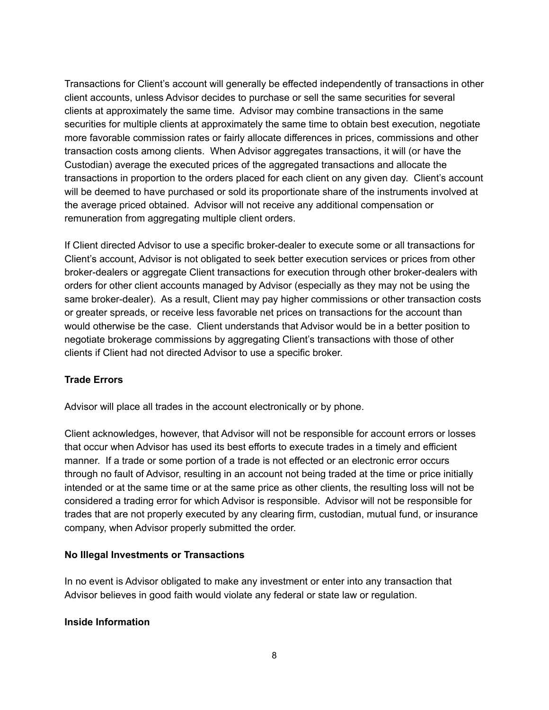Transactions for Client's account will generally be effected independently of transactions in other client accounts, unless Advisor decides to purchase or sell the same securities for several clients at approximately the same time. Advisor may combine transactions in the same securities for multiple clients at approximately the same time to obtain best execution, negotiate more favorable commission rates or fairly allocate differences in prices, commissions and other transaction costs among clients. When Advisor aggregates transactions, it will (or have the Custodian) average the executed prices of the aggregated transactions and allocate the transactions in proportion to the orders placed for each client on any given day. Client's account will be deemed to have purchased or sold its proportionate share of the instruments involved at the average priced obtained. Advisor will not receive any additional compensation or remuneration from aggregating multiple client orders.

If Client directed Advisor to use a specific broker-dealer to execute some or all transactions for Client's account, Advisor is not obligated to seek better execution services or prices from other broker-dealers or aggregate Client transactions for execution through other broker-dealers with orders for other client accounts managed by Advisor (especially as they may not be using the same broker-dealer). As a result, Client may pay higher commissions or other transaction costs or greater spreads, or receive less favorable net prices on transactions for the account than would otherwise be the case. Client understands that Advisor would be in a better position to negotiate brokerage commissions by aggregating Client's transactions with those of other clients if Client had not directed Advisor to use a specific broker.

### **Trade Errors**

Advisor will place all trades in the account electronically or by phone.

Client acknowledges, however, that Advisor will not be responsible for account errors or losses that occur when Advisor has used its best efforts to execute trades in a timely and efficient manner. If a trade or some portion of a trade is not effected or an electronic error occurs through no fault of Advisor, resulting in an account not being traded at the time or price initially intended or at the same time or at the same price as other clients, the resulting loss will not be considered a trading error for which Advisor is responsible. Advisor will not be responsible for trades that are not properly executed by any clearing firm, custodian, mutual fund, or insurance company, when Advisor properly submitted the order.

### **No Illegal Investments or Transactions**

In no event is Advisor obligated to make any investment or enter into any transaction that Advisor believes in good faith would violate any federal or state law or regulation.

### **Inside Information**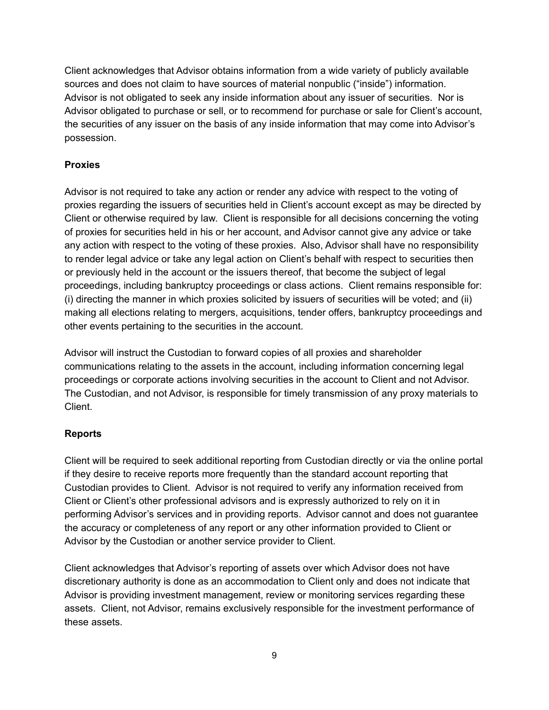Client acknowledges that Advisor obtains information from a wide variety of publicly available sources and does not claim to have sources of material nonpublic ("inside") information. Advisor is not obligated to seek any inside information about any issuer of securities. Nor is Advisor obligated to purchase or sell, or to recommend for purchase or sale for Client's account, the securities of any issuer on the basis of any inside information that may come into Advisor's possession.

## **Proxies**

Advisor is not required to take any action or render any advice with respect to the voting of proxies regarding the issuers of securities held in Client's account except as may be directed by Client or otherwise required by law. Client is responsible for all decisions concerning the voting of proxies for securities held in his or her account, and Advisor cannot give any advice or take any action with respect to the voting of these proxies. Also, Advisor shall have no responsibility to render legal advice or take any legal action on Client's behalf with respect to securities then or previously held in the account or the issuers thereof, that become the subject of legal proceedings, including bankruptcy proceedings or class actions. Client remains responsible for: (i) directing the manner in which proxies solicited by issuers of securities will be voted; and (ii) making all elections relating to mergers, acquisitions, tender offers, bankruptcy proceedings and other events pertaining to the securities in the account.

Advisor will instruct the Custodian to forward copies of all proxies and shareholder communications relating to the assets in the account, including information concerning legal proceedings or corporate actions involving securities in the account to Client and not Advisor. The Custodian, and not Advisor, is responsible for timely transmission of any proxy materials to Client.

### **Reports**

Client will be required to seek additional reporting from Custodian directly or via the online portal if they desire to receive reports more frequently than the standard account reporting that Custodian provides to Client. Advisor is not required to verify any information received from Client or Client's other professional advisors and is expressly authorized to rely on it in performing Advisor's services and in providing reports. Advisor cannot and does not guarantee the accuracy or completeness of any report or any other information provided to Client or Advisor by the Custodian or another service provider to Client.

Client acknowledges that Advisor's reporting of assets over which Advisor does not have discretionary authority is done as an accommodation to Client only and does not indicate that Advisor is providing investment management, review or monitoring services regarding these assets. Client, not Advisor, remains exclusively responsible for the investment performance of these assets.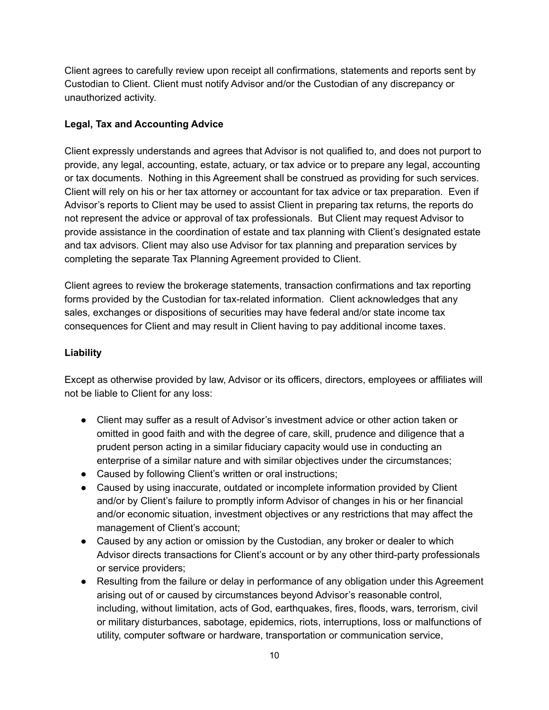Client agrees to carefully review upon receipt all confirmations, statements and reports sent by Custodian to Client. Client must notify Advisor and/or the Custodian of any discrepancy or unauthorized activity.

## **Legal, Tax and Accounting Advice**

Client expressly understands and agrees that Advisor is not qualified to, and does not purport to provide, any legal, accounting, estate, actuary, or tax advice or to prepare any legal, accounting or tax documents. Nothing in this Agreement shall be construed as providing for such services. Client will rely on his or her tax attorney or accountant for tax advice or tax preparation. Even if Advisor's reports to Client may be used to assist Client in preparing tax returns, the reports do not represent the advice or approval of tax professionals. But Client may request Advisor to provide assistance in the coordination of estate and tax planning with Client's designated estate and tax advisors. Client may also use Advisor for tax planning and preparation services by completing the separate Tax Planning Agreement provided to Client.

Client agrees to review the brokerage statements, transaction confirmations and tax reporting forms provided by the Custodian for tax-related information. Client acknowledges that any sales, exchanges or dispositions of securities may have federal and/or state income tax consequences for Client and may result in Client having to pay additional income taxes.

### **Liability**

Except as otherwise provided by law, Advisor or its officers, directors, employees or affiliates will not be liable to Client for any loss:

- Client may suffer as a result of Advisor's investment advice or other action taken or omitted in good faith and with the degree of care, skill, prudence and diligence that a prudent person acting in a similar fiduciary capacity would use in conducting an enterprise of a similar nature and with similar objectives under the circumstances;
- Caused by following Client's written or oral instructions;
- Caused by using inaccurate, outdated or incomplete information provided by Client and/or by Client's failure to promptly inform Advisor of changes in his or her financial and/or economic situation, investment objectives or any restrictions that may affect the management of Client's account;
- Caused by any action or omission by the Custodian, any broker or dealer to which Advisor directs transactions for Client's account or by any other third-party professionals or service providers;
- Resulting from the failure or delay in performance of any obligation under this Agreement arising out of or caused by circumstances beyond Advisor's reasonable control, including, without limitation, acts of God, earthquakes, fires, floods, wars, terrorism, civil or military disturbances, sabotage, epidemics, riots, interruptions, loss or malfunctions of utility, computer software or hardware, transportation or communication service,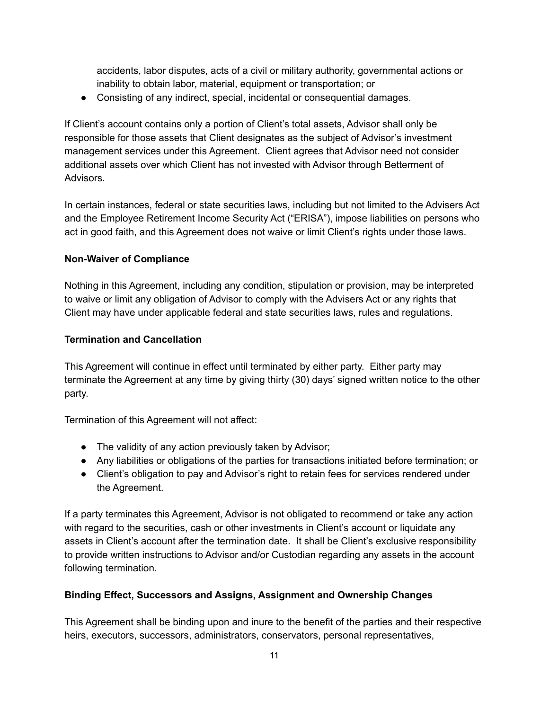accidents, labor disputes, acts of a civil or military authority, governmental actions or inability to obtain labor, material, equipment or transportation; or

● Consisting of any indirect, special, incidental or consequential damages.

If Client's account contains only a portion of Client's total assets, Advisor shall only be responsible for those assets that Client designates as the subject of Advisor's investment management services under this Agreement. Client agrees that Advisor need not consider additional assets over which Client has not invested with Advisor through Betterment of Advisors.

In certain instances, federal or state securities laws, including but not limited to the Advisers Act and the Employee Retirement Income Security Act ("ERISA"), impose liabilities on persons who act in good faith, and this Agreement does not waive or limit Client's rights under those laws.

## **Non-Waiver of Compliance**

Nothing in this Agreement, including any condition, stipulation or provision, may be interpreted to waive or limit any obligation of Advisor to comply with the Advisers Act or any rights that Client may have under applicable federal and state securities laws, rules and regulations.

# **Termination and Cancellation**

This Agreement will continue in effect until terminated by either party. Either party may terminate the Agreement at any time by giving thirty (30) days' signed written notice to the other party.

Termination of this Agreement will not affect:

- The validity of any action previously taken by Advisor;
- Any liabilities or obligations of the parties for transactions initiated before termination; or
- Client's obligation to pay and Advisor's right to retain fees for services rendered under the Agreement.

If a party terminates this Agreement, Advisor is not obligated to recommend or take any action with regard to the securities, cash or other investments in Client's account or liquidate any assets in Client's account after the termination date. It shall be Client's exclusive responsibility to provide written instructions to Advisor and/or Custodian regarding any assets in the account following termination.

# **Binding Effect, Successors and Assigns, Assignment and Ownership Changes**

This Agreement shall be binding upon and inure to the benefit of the parties and their respective heirs, executors, successors, administrators, conservators, personal representatives,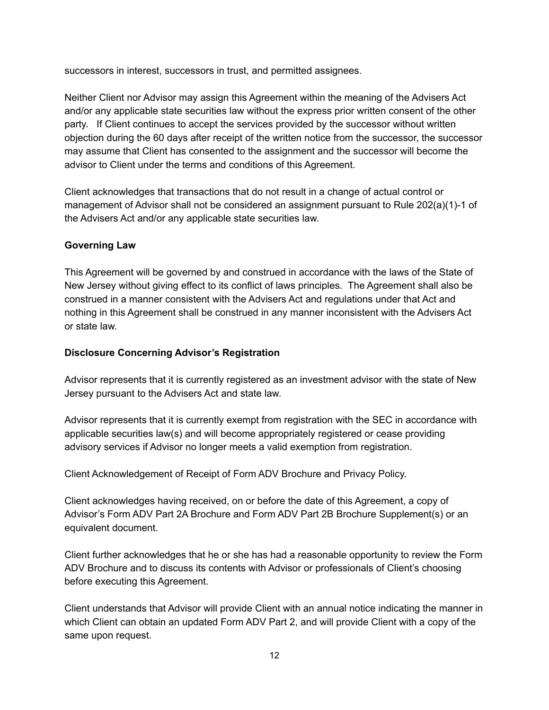successors in interest, successors in trust, and permitted assignees.

Neither Client nor Advisor may assign this Agreement within the meaning of the Advisers Act and/or any applicable state securities law without the express prior written consent of the other party. If Client continues to accept the services provided by the successor without written objection during the 60 days after receipt of the written notice from the successor, the successor may assume that Client has consented to the assignment and the successor will become the advisor to Client under the terms and conditions of this Agreement.

Client acknowledges that transactions that do not result in a change of actual control or management of Advisor shall not be considered an assignment pursuant to Rule 202(a)(1)-1 of the Advisers Act and/or any applicable state securities law.

## **Governing Law**

This Agreement will be governed by and construed in accordance with the laws of the State of New Jersey without giving effect to its conflict of laws principles. The Agreement shall also be construed in a manner consistent with the Advisers Act and regulations under that Act and nothing in this Agreement shall be construed in any manner inconsistent with the Advisers Act or state law.

### **Disclosure Concerning Advisor's Registration**

Advisor represents that it is currently registered as an investment advisor with the state of New Jersey pursuant to the Advisers Act and state law.

Advisor represents that it is currently exempt from registration with the SEC in accordance with applicable securities law(s) and will become appropriately registered or cease providing advisory services if Advisor no longer meets a valid exemption from registration.

Client Acknowledgement of Receipt of Form ADV Brochure and Privacy Policy.

Client acknowledges having received, on or before the date of this Agreement, a copy of Advisor's Form ADV Part 2A Brochure and Form ADV Part 2B Brochure Supplement(s) or an equivalent document.

Client further acknowledges that he or she has had a reasonable opportunity to review the Form ADV Brochure and to discuss its contents with Advisor or professionals of Client's choosing before executing this Agreement.

Client understands that Advisor will provide Client with an annual notice indicating the manner in which Client can obtain an updated Form ADV Part 2, and will provide Client with a copy of the same upon request.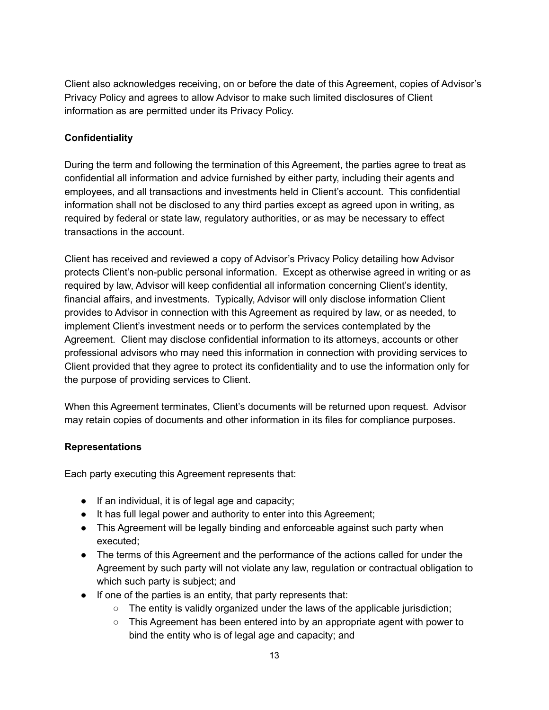Client also acknowledges receiving, on or before the date of this Agreement, copies of Advisor's Privacy Policy and agrees to allow Advisor to make such limited disclosures of Client information as are permitted under its Privacy Policy.

### **Confidentiality**

During the term and following the termination of this Agreement, the parties agree to treat as confidential all information and advice furnished by either party, including their agents and employees, and all transactions and investments held in Client's account. This confidential information shall not be disclosed to any third parties except as agreed upon in writing, as required by federal or state law, regulatory authorities, or as may be necessary to effect transactions in the account.

Client has received and reviewed a copy of Advisor's Privacy Policy detailing how Advisor protects Client's non-public personal information. Except as otherwise agreed in writing or as required by law, Advisor will keep confidential all information concerning Client's identity, financial affairs, and investments. Typically, Advisor will only disclose information Client provides to Advisor in connection with this Agreement as required by law, or as needed, to implement Client's investment needs or to perform the services contemplated by the Agreement. Client may disclose confidential information to its attorneys, accounts or other professional advisors who may need this information in connection with providing services to Client provided that they agree to protect its confidentiality and to use the information only for the purpose of providing services to Client.

When this Agreement terminates, Client's documents will be returned upon request. Advisor may retain copies of documents and other information in its files for compliance purposes.

### **Representations**

Each party executing this Agreement represents that:

- If an individual, it is of legal age and capacity;
- It has full legal power and authority to enter into this Agreement;
- This Agreement will be legally binding and enforceable against such party when executed;
- The terms of this Agreement and the performance of the actions called for under the Agreement by such party will not violate any law, regulation or contractual obligation to which such party is subject; and
- If one of the parties is an entity, that party represents that:
	- $\circ$  The entity is validly organized under the laws of the applicable jurisdiction;
	- $\circ$  This Agreement has been entered into by an appropriate agent with power to bind the entity who is of legal age and capacity; and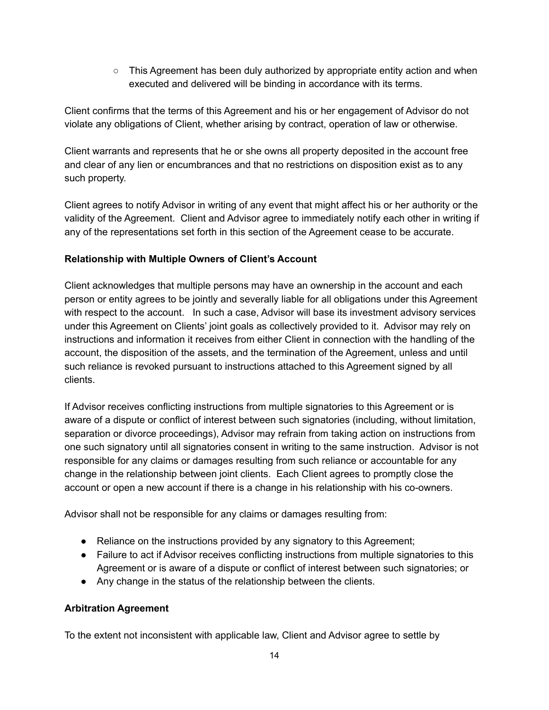$\circ$  This Agreement has been duly authorized by appropriate entity action and when executed and delivered will be binding in accordance with its terms.

Client confirms that the terms of this Agreement and his or her engagement of Advisor do not violate any obligations of Client, whether arising by contract, operation of law or otherwise.

Client warrants and represents that he or she owns all property deposited in the account free and clear of any lien or encumbrances and that no restrictions on disposition exist as to any such property.

Client agrees to notify Advisor in writing of any event that might affect his or her authority or the validity of the Agreement. Client and Advisor agree to immediately notify each other in writing if any of the representations set forth in this section of the Agreement cease to be accurate.

# **Relationship with Multiple Owners of Client's Account**

Client acknowledges that multiple persons may have an ownership in the account and each person or entity agrees to be jointly and severally liable for all obligations under this Agreement with respect to the account. In such a case, Advisor will base its investment advisory services under this Agreement on Clients' joint goals as collectively provided to it. Advisor may rely on instructions and information it receives from either Client in connection with the handling of the account, the disposition of the assets, and the termination of the Agreement, unless and until such reliance is revoked pursuant to instructions attached to this Agreement signed by all clients.

If Advisor receives conflicting instructions from multiple signatories to this Agreement or is aware of a dispute or conflict of interest between such signatories (including, without limitation, separation or divorce proceedings), Advisor may refrain from taking action on instructions from one such signatory until all signatories consent in writing to the same instruction. Advisor is not responsible for any claims or damages resulting from such reliance or accountable for any change in the relationship between joint clients. Each Client agrees to promptly close the account or open a new account if there is a change in his relationship with his co-owners.

Advisor shall not be responsible for any claims or damages resulting from:

- Reliance on the instructions provided by any signatory to this Agreement;
- Failure to act if Advisor receives conflicting instructions from multiple signatories to this Agreement or is aware of a dispute or conflict of interest between such signatories; or
- Any change in the status of the relationship between the clients.

## **Arbitration Agreement**

To the extent not inconsistent with applicable law, Client and Advisor agree to settle by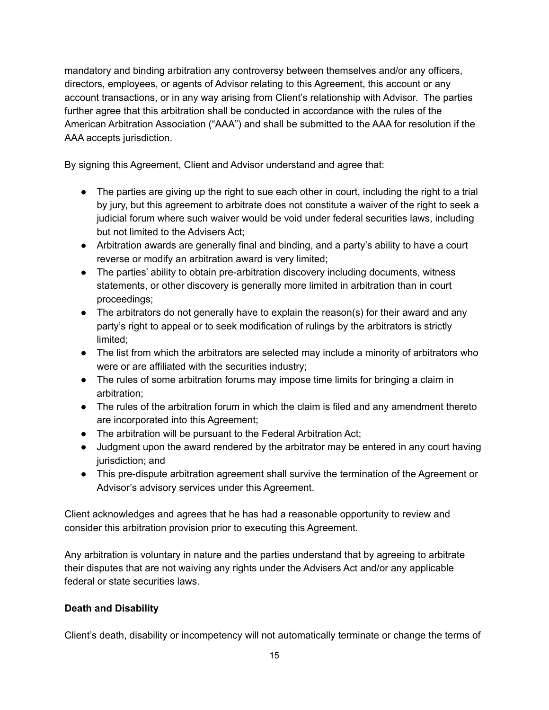mandatory and binding arbitration any controversy between themselves and/or any officers, directors, employees, or agents of Advisor relating to this Agreement, this account or any account transactions, or in any way arising from Client's relationship with Advisor. The parties further agree that this arbitration shall be conducted in accordance with the rules of the American Arbitration Association ("AAA") and shall be submitted to the AAA for resolution if the AAA accepts jurisdiction.

By signing this Agreement, Client and Advisor understand and agree that:

- The parties are giving up the right to sue each other in court, including the right to a trial by jury, but this agreement to arbitrate does not constitute a waiver of the right to seek a judicial forum where such waiver would be void under federal securities laws, including but not limited to the Advisers Act;
- Arbitration awards are generally final and binding, and a party's ability to have a court reverse or modify an arbitration award is very limited;
- The parties' ability to obtain pre-arbitration discovery including documents, witness statements, or other discovery is generally more limited in arbitration than in court proceedings;
- The arbitrators do not generally have to explain the reason(s) for their award and any party's right to appeal or to seek modification of rulings by the arbitrators is strictly limited;
- The list from which the arbitrators are selected may include a minority of arbitrators who were or are affiliated with the securities industry;
- The rules of some arbitration forums may impose time limits for bringing a claim in arbitration;
- The rules of the arbitration forum in which the claim is filed and any amendment thereto are incorporated into this Agreement;
- The arbitration will be pursuant to the Federal Arbitration Act;
- Judgment upon the award rendered by the arbitrator may be entered in any court having jurisdiction; and
- This pre-dispute arbitration agreement shall survive the termination of the Agreement or Advisor's advisory services under this Agreement.

Client acknowledges and agrees that he has had a reasonable opportunity to review and consider this arbitration provision prior to executing this Agreement.

Any arbitration is voluntary in nature and the parties understand that by agreeing to arbitrate their disputes that are not waiving any rights under the Advisers Act and/or any applicable federal or state securities laws.

## **Death and Disability**

Client's death, disability or incompetency will not automatically terminate or change the terms of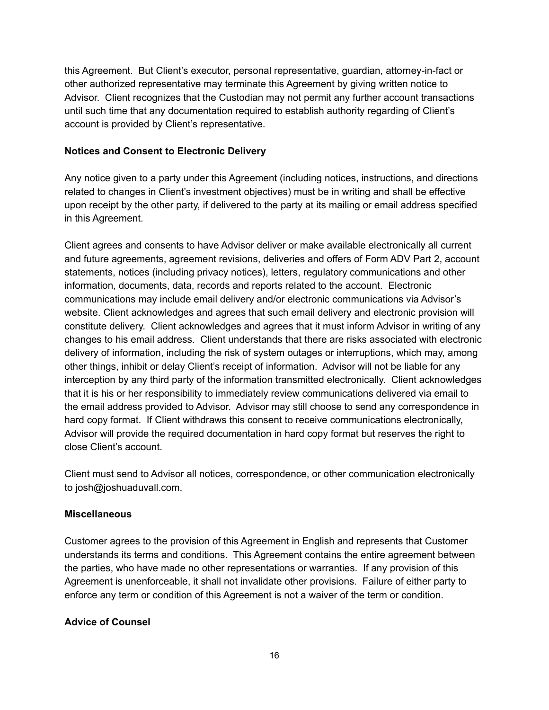this Agreement. But Client's executor, personal representative, guardian, attorney-in-fact or other authorized representative may terminate this Agreement by giving written notice to Advisor. Client recognizes that the Custodian may not permit any further account transactions until such time that any documentation required to establish authority regarding of Client's account is provided by Client's representative.

### **Notices and Consent to Electronic Delivery**

Any notice given to a party under this Agreement (including notices, instructions, and directions related to changes in Client's investment objectives) must be in writing and shall be effective upon receipt by the other party, if delivered to the party at its mailing or email address specified in this Agreement.

Client agrees and consents to have Advisor deliver or make available electronically all current and future agreements, agreement revisions, deliveries and offers of Form ADV Part 2, account statements, notices (including privacy notices), letters, regulatory communications and other information, documents, data, records and reports related to the account. Electronic communications may include email delivery and/or electronic communications via Advisor's website. Client acknowledges and agrees that such email delivery and electronic provision will constitute delivery. Client acknowledges and agrees that it must inform Advisor in writing of any changes to his email address. Client understands that there are risks associated with electronic delivery of information, including the risk of system outages or interruptions, which may, among other things, inhibit or delay Client's receipt of information. Advisor will not be liable for any interception by any third party of the information transmitted electronically. Client acknowledges that it is his or her responsibility to immediately review communications delivered via email to the email address provided to Advisor. Advisor may still choose to send any correspondence in hard copy format. If Client withdraws this consent to receive communications electronically, Advisor will provide the required documentation in hard copy format but reserves the right to close Client's account.

Client must send to Advisor all notices, correspondence, or other communication electronically to josh@joshuaduvall.com.

### **Miscellaneous**

Customer agrees to the provision of this Agreement in English and represents that Customer understands its terms and conditions. This Agreement contains the entire agreement between the parties, who have made no other representations or warranties. If any provision of this Agreement is unenforceable, it shall not invalidate other provisions. Failure of either party to enforce any term or condition of this Agreement is not a waiver of the term or condition.

### **Advice of Counsel**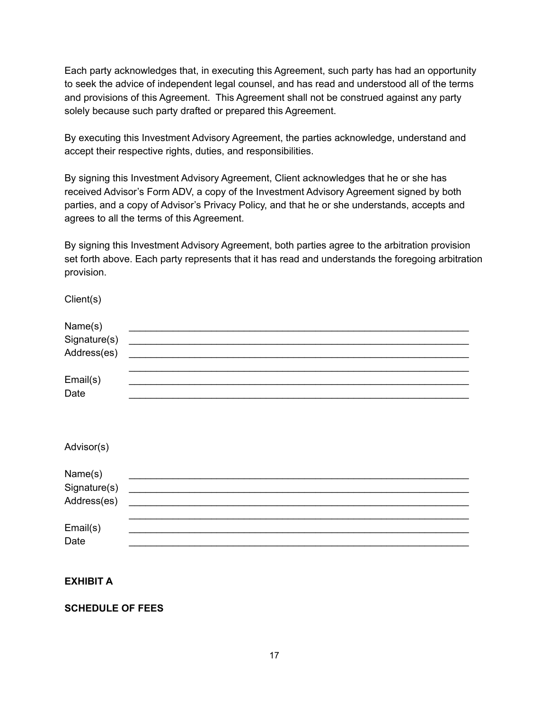Each party acknowledges that, in executing this Agreement, such party has had an opportunity to seek the advice of independent legal counsel, and has read and understood all of the terms and provisions of this Agreement. This Agreement shall not be construed against any party solely because such party drafted or prepared this Agreement.

By executing this Investment Advisory Agreement, the parties acknowledge, understand and accept their respective rights, duties, and responsibilities.

By signing this Investment Advisory Agreement, Client acknowledges that he or she has received Advisor's Form ADV, a copy of the Investment Advisory Agreement signed by both parties, and a copy of Advisor's Privacy Policy, and that he or she understands, accepts and agrees to all the terms of this Agreement.

By signing this Investment Advisory Agreement, both parties agree to the arbitration provision set forth above. Each party represents that it has read and understands the foregoing arbitration provision.

Client(s)

| Name(s)<br>Signature(s)<br>Address(es) |  |  |
|----------------------------------------|--|--|
| Email(s)<br>Date                       |  |  |
| Advisor(s)                             |  |  |
| Name(s)<br>Signature(s)<br>Address(es) |  |  |
| Email(s)<br>Date                       |  |  |

**EXHIBIT A**

**SCHEDULE OF FEES**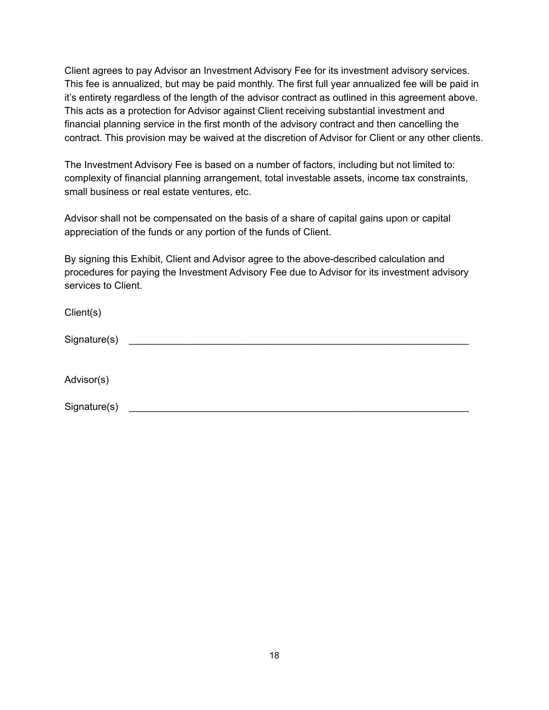Client agrees to pay Advisor an Investment Advisory Fee for its investment advisory services. This fee is annualized, but may be paid monthly. The first full year annualized fee will be paid in it's entirety regardless of the length of the advisor contract as outlined in this agreement above. This acts as a protection for Advisor against Client receiving substantial investment and financial planning service in the first month of the advisory contract and then cancelling the contract. This provision may be waived at the discretion of Advisor for Client or any other clients.

The Investment Advisory Fee is based on a number of factors, including but not limited to: complexity of financial planning arrangement, total investable assets, income tax constraints, small business or real estate ventures, etc.

Advisor shall not be compensated on the basis of a share of capital gains upon or capital appreciation of the funds or any portion of the funds of Client.

By signing this Exhibit, Client and Advisor agree to the above-described calculation and procedures for paying the Investment Advisory Fee due to Advisor for its investment advisory services to Client.

| Client(s)    |  |  |
|--------------|--|--|
| Signature(s) |  |  |
|              |  |  |
| Advisor(s)   |  |  |
| Signature(s) |  |  |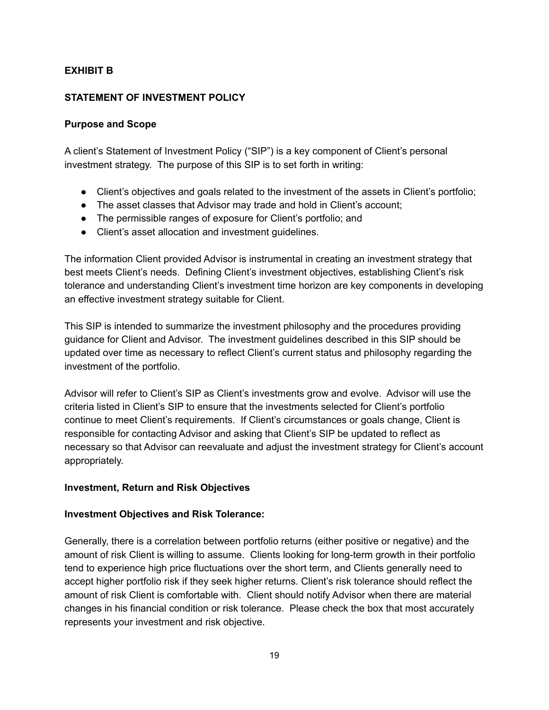## **EXHIBIT B**

### **STATEMENT OF INVESTMENT POLICY**

### **Purpose and Scope**

A client's Statement of Investment Policy ("SIP") is a key component of Client's personal investment strategy. The purpose of this SIP is to set forth in writing:

- Client's objectives and goals related to the investment of the assets in Client's portfolio;
- The asset classes that Advisor may trade and hold in Client's account;
- The permissible ranges of exposure for Client's portfolio; and
- Client's asset allocation and investment guidelines.

The information Client provided Advisor is instrumental in creating an investment strategy that best meets Client's needs. Defining Client's investment objectives, establishing Client's risk tolerance and understanding Client's investment time horizon are key components in developing an effective investment strategy suitable for Client.

This SIP is intended to summarize the investment philosophy and the procedures providing guidance for Client and Advisor. The investment guidelines described in this SIP should be updated over time as necessary to reflect Client's current status and philosophy regarding the investment of the portfolio.

Advisor will refer to Client's SIP as Client's investments grow and evolve. Advisor will use the criteria listed in Client's SIP to ensure that the investments selected for Client's portfolio continue to meet Client's requirements. If Client's circumstances or goals change, Client is responsible for contacting Advisor and asking that Client's SIP be updated to reflect as necessary so that Advisor can reevaluate and adjust the investment strategy for Client's account appropriately.

## **Investment, Return and Risk Objectives**

### **Investment Objectives and Risk Tolerance:**

Generally, there is a correlation between portfolio returns (either positive or negative) and the amount of risk Client is willing to assume. Clients looking for long-term growth in their portfolio tend to experience high price fluctuations over the short term, and Clients generally need to accept higher portfolio risk if they seek higher returns. Client's risk tolerance should reflect the amount of risk Client is comfortable with. Client should notify Advisor when there are material changes in his financial condition or risk tolerance. Please check the box that most accurately represents your investment and risk objective.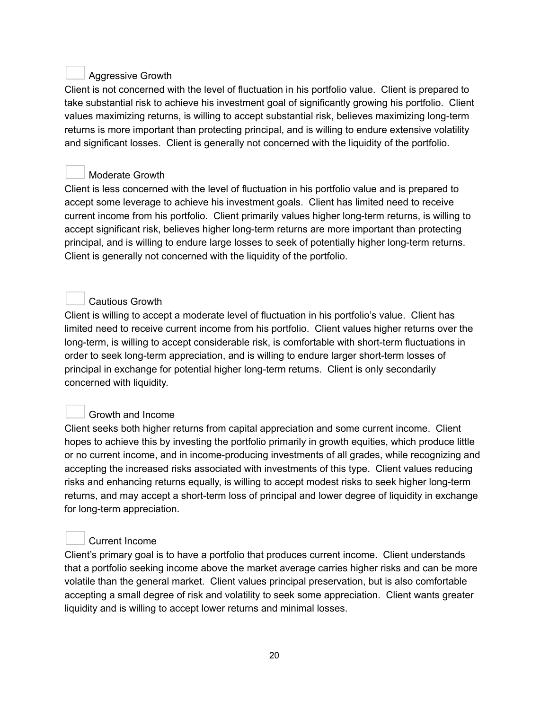# Aggressive Growth

Client is not concerned with the level of fluctuation in his portfolio value. Client is prepared to take substantial risk to achieve his investment goal of significantly growing his portfolio. Client values maximizing returns, is willing to accept substantial risk, believes maximizing long-term returns is more important than protecting principal, and is willing to endure extensive volatility and significant losses. Client is generally not concerned with the liquidity of the portfolio.

# Moderate Growth

Client is less concerned with the level of fluctuation in his portfolio value and is prepared to accept some leverage to achieve his investment goals. Client has limited need to receive current income from his portfolio. Client primarily values higher long-term returns, is willing to accept significant risk, believes higher long-term returns are more important than protecting principal, and is willing to endure large losses to seek of potentially higher long-term returns. Client is generally not concerned with the liquidity of the portfolio.

# Cautious Growth

Client is willing to accept a moderate level of fluctuation in his portfolio's value. Client has limited need to receive current income from his portfolio. Client values higher returns over the long-term, is willing to accept considerable risk, is comfortable with short-term fluctuations in order to seek long-term appreciation, and is willing to endure larger short-term losses of principal in exchange for potential higher long-term returns. Client is only secondarily concerned with liquidity.

# Growth and Income

Client seeks both higher returns from capital appreciation and some current income. Client hopes to achieve this by investing the portfolio primarily in growth equities, which produce little or no current income, and in income-producing investments of all grades, while recognizing and accepting the increased risks associated with investments of this type. Client values reducing risks and enhancing returns equally, is willing to accept modest risks to seek higher long-term returns, and may accept a short-term loss of principal and lower degree of liquidity in exchange for long-term appreciation.

## Current Income

Client's primary goal is to have a portfolio that produces current income. Client understands that a portfolio seeking income above the market average carries higher risks and can be more volatile than the general market. Client values principal preservation, but is also comfortable accepting a small degree of risk and volatility to seek some appreciation. Client wants greater liquidity and is willing to accept lower returns and minimal losses.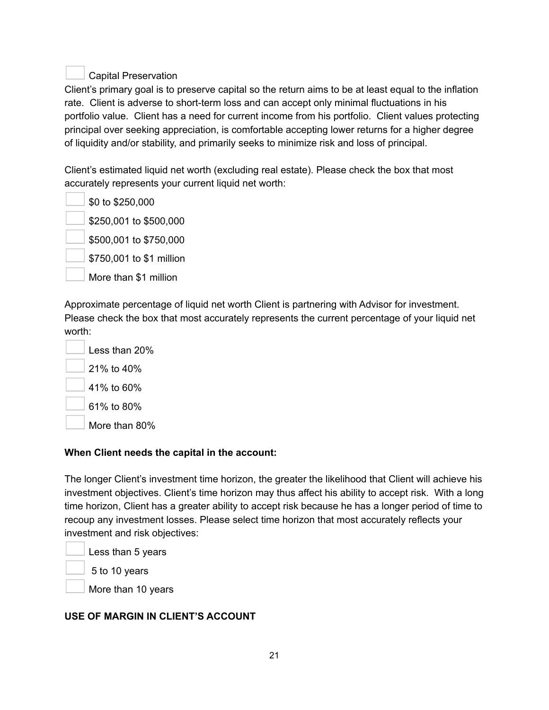# Capital Preservation

Client's primary goal is to preserve capital so the return aims to be at least equal to the inflation rate. Client is adverse to short-term loss and can accept only minimal fluctuations in his portfolio value. Client has a need for current income from his portfolio. Client values protecting principal over seeking appreciation, is comfortable accepting lower returns for a higher degree of liquidity and/or stability, and primarily seeks to minimize risk and loss of principal.

Client's estimated liquid net worth (excluding real estate). Please check the box that most accurately represents your current liquid net worth:

| \$0 to \$250,000         |  |  |  |
|--------------------------|--|--|--|
| \$250,001 to \$500,000   |  |  |  |
| \$500,001 to \$750,000   |  |  |  |
| \$750,001 to \$1 million |  |  |  |
| More than \$1 million    |  |  |  |
|                          |  |  |  |

Approximate percentage of liquid net worth Client is partnering with Advisor for investment. Please check the box that most accurately represents the current percentage of your liquid net worth:

| Less than 20% |
|---------------|
| 21% to 40%    |
| 41% to 60%    |
| 61% to 80%    |
| More than 80% |

**The Contract of the Contract of the Contract of the Contract of the Contract of the Contract of the Contract of the Contract of the Contract of the Contract of the Contract of the Contract of the Contract of the Contract** 

## **When Client needs the capital in the account:**

The longer Client's investment time horizon, the greater the likelihood that Client will achieve his investment objectives. Client's time horizon may thus affect his ability to accept risk. With a long time horizon, Client has a greater ability to accept risk because he has a longer period of time to recoup any investment losses. Please select time horizon that most accurately reflects your investment and risk objectives:

Less than 5 years

5 to 10 years

More than 10 years

## **USE OF MARGIN IN CLIENT'S ACCOUNT**